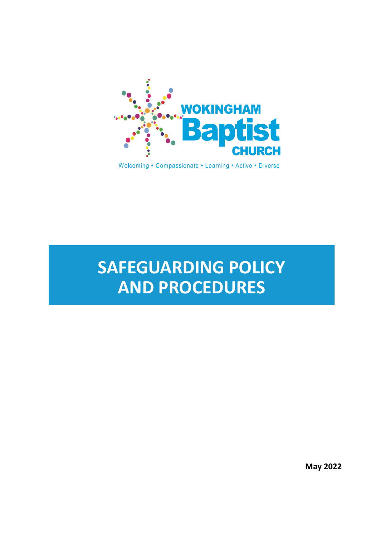

Welcoming • Compassionate • Learning • Active • Diverse

# **SAFEGUARDING POLICY AND PROCEDURES**

**May 2022**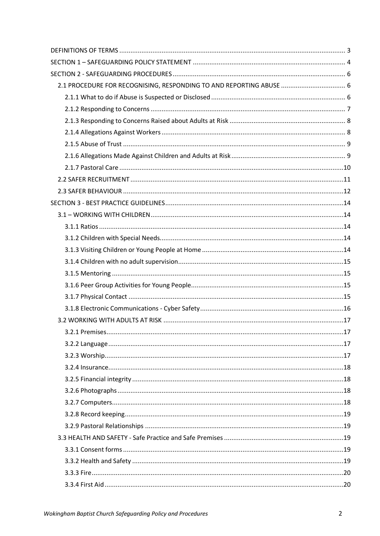| 2.1 PROCEDURE FOR RECOGNISING, RESPONDING TO AND REPORTING ABUSE  6 |  |
|---------------------------------------------------------------------|--|
|                                                                     |  |
|                                                                     |  |
|                                                                     |  |
|                                                                     |  |
|                                                                     |  |
|                                                                     |  |
|                                                                     |  |
|                                                                     |  |
|                                                                     |  |
|                                                                     |  |
|                                                                     |  |
|                                                                     |  |
|                                                                     |  |
|                                                                     |  |
|                                                                     |  |
|                                                                     |  |
|                                                                     |  |
|                                                                     |  |
|                                                                     |  |
|                                                                     |  |
|                                                                     |  |
|                                                                     |  |
|                                                                     |  |
|                                                                     |  |
|                                                                     |  |
|                                                                     |  |
|                                                                     |  |
|                                                                     |  |
|                                                                     |  |
|                                                                     |  |
|                                                                     |  |
|                                                                     |  |
|                                                                     |  |
|                                                                     |  |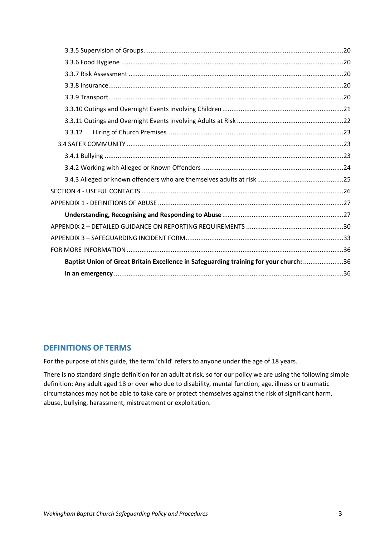| 3.3.12                                                                                 |
|----------------------------------------------------------------------------------------|
|                                                                                        |
|                                                                                        |
|                                                                                        |
|                                                                                        |
|                                                                                        |
|                                                                                        |
|                                                                                        |
|                                                                                        |
|                                                                                        |
|                                                                                        |
| Baptist Union of Great Britain Excellence in Safeguarding training for your church: 36 |
|                                                                                        |

# <span id="page-2-0"></span>**DEFINITIONS OF TERMS**

For the purpose of this guide, the term 'child' refers to anyone under the age of 18 years.

There is no standard single definition for an adult at risk, so for our policy we are using the following simple definition: Any adult aged 18 or over who due to disability, mental function, age, illness or traumatic circumstances may not be able to take care or protect themselves against the risk of significant harm, abuse, bullying, harassment, mistreatment or exploitation.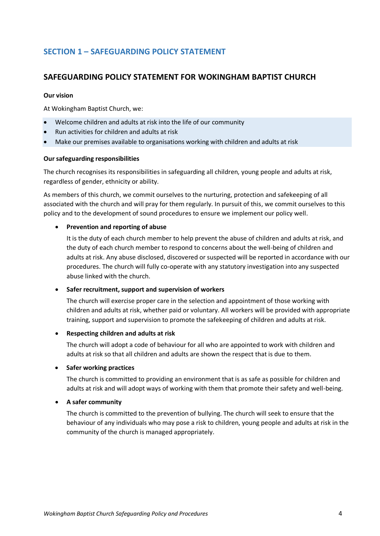# <span id="page-3-0"></span>**SECTION 1 – SAFEGUARDING POLICY STATEMENT**

# **SAFEGUARDING POLICY STATEMENT FOR WOKINGHAM BAPTIST CHURCH**

#### **Our vision**

At Wokingham Baptist Church, we:

- Welcome children and adults at risk into the life of our community
- Run activities for children and adults at risk
- Make our premises available to organisations working with children and adults at risk

#### **Our safeguarding responsibilities**

The church recognises its responsibilities in safeguarding all children, young people and adults at risk, regardless of gender, ethnicity or ability.

As members of this church, we commit ourselves to the nurturing, protection and safekeeping of all associated with the church and will pray for them regularly. In pursuit of this, we commit ourselves to this policy and to the development of sound procedures to ensure we implement our policy well.

### • **Prevention and reporting of abuse**

It is the duty of each church member to help prevent the abuse of children and adults at risk, and the duty of each church member to respond to concerns about the well-being of children and adults at risk. Any abuse disclosed, discovered or suspected will be reported in accordance with our procedures. The church will fully co-operate with any statutory investigation into any suspected abuse linked with the church.

### • **Safer recruitment, support and supervision of workers**

The church will exercise proper care in the selection and appointment of those working with children and adults at risk, whether paid or voluntary. All workers will be provided with appropriate training, support and supervision to promote the safekeeping of children and adults at risk.

### • **Respecting children and adults at risk**

The church will adopt a code of behaviour for all who are appointed to work with children and adults at risk so that all children and adults are shown the respect that is due to them.

### • **Safer working practices**

The church is committed to providing an environment that is as safe as possible for children and adults at risk and will adopt ways of working with them that promote their safety and well-being.

### • **A safer community**

The church is committed to the prevention of bullying. The church will seek to ensure that the behaviour of any individuals who may pose a risk to children, young people and adults at risk in the community of the church is managed appropriately.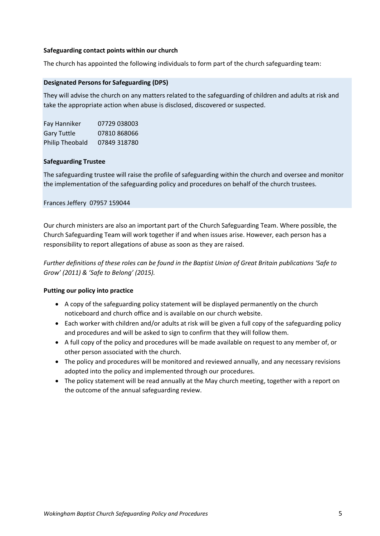### **Safeguarding contact points within our church**

The church has appointed the following individuals to form part of the church safeguarding team:

### **Designated Persons for Safeguarding (DPS)**

They will advise the church on any matters related to the safeguarding of children and adults at risk and take the appropriate action when abuse is disclosed, discovered or suspected.

| Fay Hanniker           | 07729 038003 |
|------------------------|--------------|
| <b>Gary Tuttle</b>     | 07810 868066 |
| <b>Philip Theobald</b> | 07849 318780 |

### **Safeguarding Trustee**

The safeguarding trustee will raise the profile of safeguarding within the church and oversee and monitor the implementation of the safeguarding policy and procedures on behalf of the church trustees.

### Frances Jeffery 07957 159044

Our church ministers are also an important part of the Church Safeguarding Team. Where possible, the Church Safeguarding Team will work together if and when issues arise. However, each person has a responsibility to report allegations of abuse as soon as they are raised.

*Further definitions of these roles can be found in the Baptist Union of Great Britain publications 'Safe to Grow' (2011) & 'Safe to Belong' (2015).*

### **Putting our policy into practice**

- A copy of the safeguarding policy statement will be displayed permanently on the church noticeboard and church office and is available on our church website.
- Each worker with children and/or adults at risk will be given a full copy of the safeguarding policy and procedures and will be asked to sign to confirm that they will follow them.
- A full copy of the policy and procedures will be made available on request to any member of, or other person associated with the church.
- The policy and procedures will be monitored and reviewed annually, and any necessary revisions adopted into the policy and implemented through our procedures.
- The policy statement will be read annually at the May church meeting, together with a report on the outcome of the annual safeguarding review.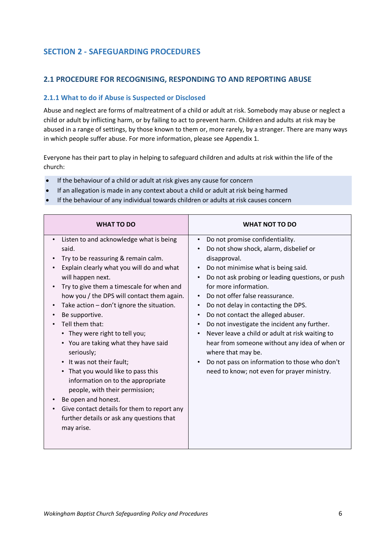# <span id="page-5-0"></span>**SECTION 2 - SAFEGUARDING PROCEDURES**

# <span id="page-5-1"></span>**2.1 PROCEDURE FOR RECOGNISING, RESPONDING TO AND REPORTING ABUSE**

### <span id="page-5-2"></span>**2.1.1 What to do if Abuse is Suspected or Disclosed**

Abuse and neglect are forms of maltreatment of a child or adult at risk. Somebody may abuse or neglect a child or adult by inflicting harm, or by failing to act to prevent harm. Children and adults at risk may be abused in a range of settings, by those known to them or, more rarely, by a stranger. There are many ways in which people suffer abuse. For more information, please see Appendix 1.

Everyone has their part to play in helping to safeguard children and adults at risk within the life of the church:

- If the behaviour of a child or adult at risk gives any cause for concern
- If an allegation is made in any context about a child or adult at risk being harmed
- If the behaviour of any individual towards children or adults at risk causes concern

| <b>WHAT TO DO</b>                                                                                                                                                                                                                                                                                                                                                                                                                                                                                                                                                                                                                                                                                                                                | <b>WHAT NOT TO DO</b>                                                                                                                                                                                                                                                                                                                                                                                                                                                                                                                                                                                                                          |
|--------------------------------------------------------------------------------------------------------------------------------------------------------------------------------------------------------------------------------------------------------------------------------------------------------------------------------------------------------------------------------------------------------------------------------------------------------------------------------------------------------------------------------------------------------------------------------------------------------------------------------------------------------------------------------------------------------------------------------------------------|------------------------------------------------------------------------------------------------------------------------------------------------------------------------------------------------------------------------------------------------------------------------------------------------------------------------------------------------------------------------------------------------------------------------------------------------------------------------------------------------------------------------------------------------------------------------------------------------------------------------------------------------|
| Listen to and acknowledge what is being<br>$\bullet$<br>said.<br>Try to be reassuring & remain calm.<br>Explain clearly what you will do and what<br>will happen next.<br>Try to give them a timescale for when and<br>how you / the DPS will contact them again.<br>Take action - don't ignore the situation.<br>$\bullet$<br>Be supportive.<br>Tell them that:<br>• They were right to tell you;<br>• You are taking what they have said<br>seriously;<br>• It was not their fault;<br>• That you would like to pass this<br>information on to the appropriate<br>people, with their permission;<br>Be open and honest.<br>Give contact details for them to report any<br>$\bullet$<br>further details or ask any questions that<br>may arise. | Do not promise confidentiality.<br>$\bullet$<br>Do not show shock, alarm, disbelief or<br>disapproval.<br>Do not minimise what is being said.<br>Do not ask probing or leading questions, or push<br>for more information.<br>Do not offer false reassurance.<br>Do not delay in contacting the DPS.<br>$\bullet$<br>Do not contact the alleged abuser.<br>$\bullet$<br>Do not investigate the incident any further.<br>Never leave a child or adult at risk waiting to<br>hear from someone without any idea of when or<br>where that may be.<br>Do not pass on information to those who don't<br>need to know; not even for prayer ministry. |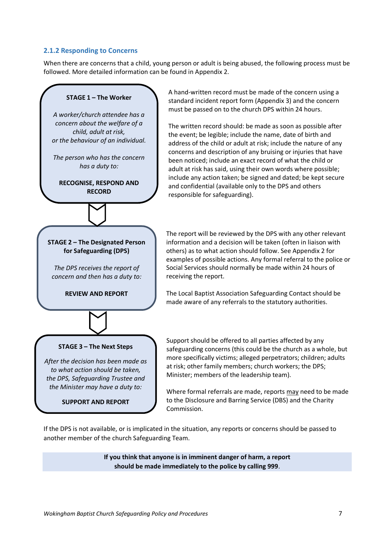### <span id="page-6-0"></span>**2.1.2 Responding to Concerns**

When there are concerns that a child, young person or adult is being abused, the following process must be followed. More detailed information can be found in Appendix 2.



A hand-written record must be made of the concern using a standard incident report form (Appendix 3) and the concern must be passed on to the church DPS within 24 hours.

The written record should: be made as soon as possible after the event; be legible; include the name, date of birth and address of the child or adult at risk; include the nature of any concerns and description of any bruising or injuries that have been noticed; include an exact record of what the child or adult at risk has said, using their own words where possible; include any action taken; be signed and dated; be kept secure and confidential (available only to the DPS and others

The report will be reviewed by the DPS with any other relevant information and a decision will be taken (often in liaison with others) as to what action should follow. See Appendix 2 for examples of possible actions. Any formal referral to the police or Social Services should normally be made within 24 hours of

The Local Baptist Association Safeguarding Contact should be made aware of any referrals to the statutory authorities.

Support should be offered to all parties affected by any safeguarding concerns (this could be the church as a whole, but more specifically victims; alleged perpetrators; children; adults at risk; other family members; church workers; the DPS; Minister; members of the leadership team).

Where formal referrals are made, reports may need to be made to the Disclosure and Barring Service (DBS) and the Charity Commission.

If the DPS is not available, or is implicated in the situation, any reports or concerns should be passed to another member of the church Safeguarding Team.

> **If you think that anyone is in imminent danger of harm, a report should be made immediately to the police by calling 999**.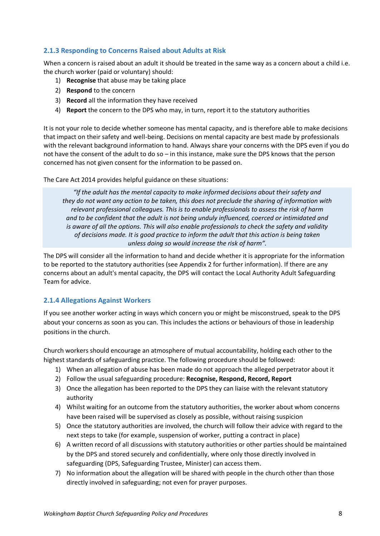# <span id="page-7-0"></span>**2.1.3 Responding to Concerns Raised about Adults at Risk**

When a concern is raised about an adult it should be treated in the same way as a concern about a child i.e. the church worker (paid or voluntary) should:

- 1) **Recognise** that abuse may be taking place
- 2) **Respond** to the concern
- 3) **Record** all the information they have received
- 4) **Report** the concern to the DPS who may, in turn, report it to the statutory authorities

It is not your role to decide whether someone has mental capacity, and is therefore able to make decisions that impact on their safety and well-being. Decisions on mental capacity are best made by professionals with the relevant background information to hand. Always share your concerns with the DPS even if you do not have the consent of the adult to do so – in this instance, make sure the DPS knows that the person concerned has not given consent for the information to be passed on.

The Care Act 2014 provides helpful guidance on these situations:

*"If the adult has the mental capacity to make informed decisions about their safety and they do not want any action to be taken, this does not preclude the sharing of information with relevant professional colleagues. This is to enable professionals to assess the risk of harm and to be confident that the adult is not being unduly influenced, coerced or intimidated and is aware of all the options. This will also enable professionals to check the safety and validity of decisions made. It is good practice to inform the adult that this action is being taken unless doing so would increase the risk of harm".*

The DPS will consider all the information to hand and decide whether it is appropriate for the information to be reported to the statutory authorities (see Appendix 2 for further information). If there are any concerns about an adult's mental capacity, the DPS will contact the Local Authority Adult Safeguarding Team for advice.

### <span id="page-7-1"></span>**2.1.4 Allegations Against Workers**

If you see another worker acting in ways which concern you or might be misconstrued, speak to the DPS about your concerns as soon as you can. This includes the actions or behaviours of those in leadership positions in the church.

Church workers should encourage an atmosphere of mutual accountability, holding each other to the highest standards of safeguarding practice. The following procedure should be followed:

- 1) When an allegation of abuse has been made do not approach the alleged perpetrator about it
- 2) Follow the usual safeguarding procedure: **Recognise, Respond, Record, Report**
- 3) Once the allegation has been reported to the DPS they can liaise with the relevant statutory authority
- 4) Whilst waiting for an outcome from the statutory authorities, the worker about whom concerns have been raised will be supervised as closely as possible, without raising suspicion
- 5) Once the statutory authorities are involved, the church will follow their advice with regard to the next steps to take (for example, suspension of worker, putting a contract in place)
- 6) A written record of all discussions with statutory authorities or other parties should be maintained by the DPS and stored securely and confidentially, where only those directly involved in safeguarding (DPS, Safeguarding Trustee, Minister) can access them.
- 7) No information about the allegation will be shared with people in the church other than those directly involved in safeguarding; not even for prayer purposes.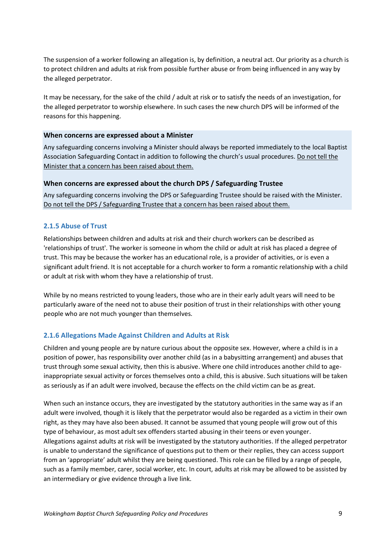The suspension of a worker following an allegation is, by definition, a neutral act. Our priority as a church is to protect children and adults at risk from possible further abuse or from being influenced in any way by the alleged perpetrator.

It may be necessary, for the sake of the child / adult at risk or to satisfy the needs of an investigation, for the alleged perpetrator to worship elsewhere. In such cases the new church DPS will be informed of the reasons for this happening.

### **When concerns are expressed about a Minister**

Any safeguarding concerns involving a Minister should always be reported immediately to the local Baptist Association Safeguarding Contact in addition to following the church's usual procedures. Do not tell the Minister that a concern has been raised about them.

### **When concerns are expressed about the church DPS / Safeguarding Trustee**

Any safeguarding concerns involving the DPS or Safeguarding Trustee should be raised with the Minister. Do not tell the DPS / Safeguarding Trustee that a concern has been raised about them.

# <span id="page-8-0"></span>**2.1.5 Abuse of Trust**

Relationships between children and adults at risk and their church workers can be described as 'relationships of trust'. The worker is someone in whom the child or adult at risk has placed a degree of trust. This may be because the worker has an educational role, is a provider of activities, or is even a significant adult friend. It is not acceptable for a church worker to form a romantic relationship with a child or adult at risk with whom they have a relationship of trust.

While by no means restricted to young leaders, those who are in their early adult years will need to be particularly aware of the need not to abuse their position of trust in their relationships with other young people who are not much younger than themselves.

### <span id="page-8-1"></span>**2.1.6 Allegations Made Against Children and Adults at Risk**

Children and young people are by nature curious about the opposite sex. However, where a child is in a position of power, has responsibility over another child (as in a babysitting arrangement) and abuses that trust through some sexual activity, then this is abusive. Where one child introduces another child to ageinappropriate sexual activity or forces themselves onto a child, this is abusive. Such situations will be taken as seriously as if an adult were involved, because the effects on the child victim can be as great.

When such an instance occurs, they are investigated by the statutory authorities in the same way as if an adult were involved, though it is likely that the perpetrator would also be regarded as a victim in their own right, as they may have also been abused. It cannot be assumed that young people will grow out of this type of behaviour, as most adult sex offenders started abusing in their teens or even younger. Allegations against adults at risk will be investigated by the statutory authorities. If the alleged perpetrator is unable to understand the significance of questions put to them or their replies, they can access support from an 'appropriate' adult whilst they are being questioned. This role can be filled by a range of people, such as a family member, carer, social worker, etc. In court, adults at risk may be allowed to be assisted by an intermediary or give evidence through a live link.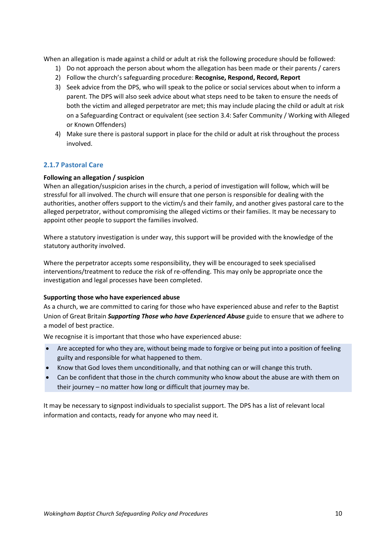When an allegation is made against a child or adult at risk the following procedure should be followed:

- 1) Do not approach the person about whom the allegation has been made or their parents / carers
- 2) Follow the church's safeguarding procedure: **Recognise, Respond, Record, Report**
- 3) Seek advice from the DPS, who will speak to the police or social services about when to inform a parent. The DPS will also seek advice about what steps need to be taken to ensure the needs of both the victim and alleged perpetrator are met; this may include placing the child or adult at risk on a Safeguarding Contract or equivalent (see section 3.4: Safer Community / Working with Alleged or Known Offenders)
- 4) Make sure there is pastoral support in place for the child or adult at risk throughout the process involved.

# <span id="page-9-0"></span>**2.1.7 Pastoral Care**

### **Following an allegation / suspicion**

When an allegation/suspicion arises in the church, a period of investigation will follow, which will be stressful for all involved. The church will ensure that one person is responsible for dealing with the authorities, another offers support to the victim/s and their family, and another gives pastoral care to the alleged perpetrator, without compromising the alleged victims or their families. It may be necessary to appoint other people to support the families involved.

Where a statutory investigation is under way, this support will be provided with the knowledge of the statutory authority involved.

Where the perpetrator accepts some responsibility, they will be encouraged to seek specialised interventions/treatment to reduce the risk of re-offending. This may only be appropriate once the investigation and legal processes have been completed.

### **Supporting those who have experienced abuse**

As a church, we are committed to caring for those who have experienced abuse and refer to the Baptist Union of Great Britain *Supporting Those who have Experienced Abuse* guide to ensure that we adhere to a model of best practice.

We recognise it is important that those who have experienced abuse:

- Are accepted for who they are, without being made to forgive or being put into a position of feeling guilty and responsible for what happened to them.
- Know that God loves them unconditionally, and that nothing can or will change this truth.
- Can be confident that those in the church community who know about the abuse are with them on their journey – no matter how long or difficult that journey may be.

It may be necessary to signpost individuals to specialist support. The DPS has a list of relevant local information and contacts, ready for anyone who may need it.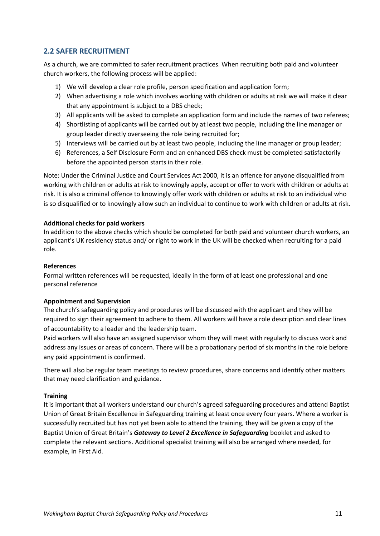# <span id="page-10-0"></span>**2.2 SAFER RECRUITMENT**

As a church, we are committed to safer recruitment practices. When recruiting both paid and volunteer church workers, the following process will be applied:

- 1) We will develop a clear role profile, person specification and application form;
- 2) When advertising a role which involves working with children or adults at risk we will make it clear that any appointment is subject to a DBS check;
- 3) All applicants will be asked to complete an application form and include the names of two referees;
- 4) Shortlisting of applicants will be carried out by at least two people, including the line manager or group leader directly overseeing the role being recruited for;
- 5) Interviews will be carried out by at least two people, including the line manager or group leader;
- 6) References, a Self Disclosure Form and an enhanced DBS check must be completed satisfactorily before the appointed person starts in their role.

Note: Under the Criminal Justice and Court Services Act 2000, it is an offence for anyone disqualified from working with children or adults at risk to knowingly apply, accept or offer to work with children or adults at risk. It is also a criminal offence to knowingly offer work with children or adults at risk to an individual who is so disqualified or to knowingly allow such an individual to continue to work with children or adults at risk.

### **Additional checks for paid workers**

In addition to the above checks which should be completed for both paid and volunteer church workers, an applicant's UK residency status and/ or right to work in the UK will be checked when recruiting for a paid role.

### **References**

Formal written references will be requested, ideally in the form of at least one professional and one personal reference

### **Appointment and Supervision**

The church's safeguarding policy and procedures will be discussed with the applicant and they will be required to sign their agreement to adhere to them. All workers will have a role description and clear lines of accountability to a leader and the leadership team.

Paid workers will also have an assigned supervisor whom they will meet with regularly to discuss work and address any issues or areas of concern. There will be a probationary period of six months in the role before any paid appointment is confirmed.

There will also be regular team meetings to review procedures, share concerns and identify other matters that may need clarification and guidance.

### **Training**

It is important that all workers understand our church's agreed safeguarding procedures and attend Baptist Union of Great Britain Excellence in Safeguarding training at least once every four years. Where a worker is successfully recruited but has not yet been able to attend the training, they will be given a copy of the Baptist Union of Great Britain's *Gateway to Level 2 Excellence in Safeguarding* booklet and asked to complete the relevant sections. Additional specialist training will also be arranged where needed, for example, in First Aid.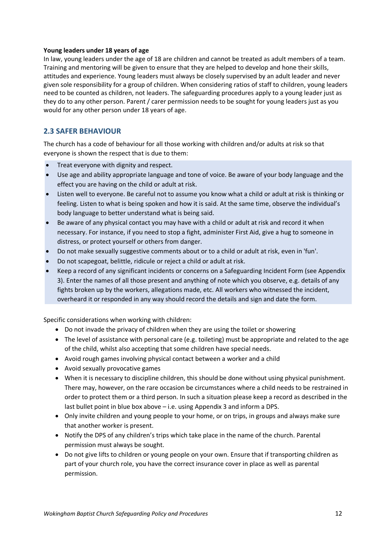### **Young leaders under 18 years of age**

In law, young leaders under the age of 18 are children and cannot be treated as adult members of a team. Training and mentoring will be given to ensure that they are helped to develop and hone their skills, attitudes and experience. Young leaders must always be closely supervised by an adult leader and never given sole responsibility for a group of children. When considering ratios of staff to children, young leaders need to be counted as children, not leaders. The safeguarding procedures apply to a young leader just as they do to any other person. Parent / carer permission needs to be sought for young leaders just as you would for any other person under 18 years of age.

# <span id="page-11-0"></span>**2.3 SAFER BEHAVIOUR**

The church has a code of behaviour for all those working with children and/or adults at risk so that everyone is shown the respect that is due to them:

- Treat everyone with dignity and respect.
- Use age and ability appropriate language and tone of voice. Be aware of your body language and the effect you are having on the child or adult at risk.
- Listen well to everyone. Be careful not to assume you know what a child or adult at risk is thinking or feeling. Listen to what is being spoken and how it is said. At the same time, observe the individual's body language to better understand what is being said.
- Be aware of any physical contact you may have with a child or adult at risk and record it when necessary. For instance, if you need to stop a fight, administer First Aid, give a hug to someone in distress, or protect yourself or others from danger.
- Do not make sexually suggestive comments about or to a child or adult at risk, even in 'fun'.
- Do not scapegoat, belittle, ridicule or reject a child or adult at risk.
- Keep a record of any significant incidents or concerns on a Safeguarding Incident Form (see Appendix 3). Enter the names of all those present and anything of note which you observe, e.g. details of any fights broken up by the workers, allegations made, etc. All workers who witnessed the incident, overheard it or responded in any way should record the details and sign and date the form.

Specific considerations when working with children:

- Do not invade the privacy of children when they are using the toilet or showering
- The level of assistance with personal care (e.g. toileting) must be appropriate and related to the age of the child, whilst also accepting that some children have special needs.
- Avoid rough games involving physical contact between a worker and a child
- Avoid sexually provocative games
- When it is necessary to discipline children, this should be done without using physical punishment. There may, however, on the rare occasion be circumstances where a child needs to be restrained in order to protect them or a third person. In such a situation please keep a record as described in the last bullet point in blue box above – i.e. using Appendix 3 and inform a DPS.
- Only invite children and young people to your home, or on trips, in groups and always make sure that another worker is present.
- Notify the DPS of any children's trips which take place in the name of the church. Parental permission must always be sought.
- Do not give lifts to children or young people on your own. Ensure that if transporting children as part of your church role, you have the correct insurance cover in place as well as parental permission.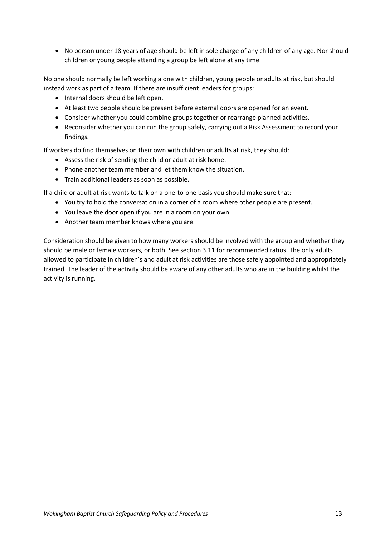• No person under 18 years of age should be left in sole charge of any children of any age. Nor should children or young people attending a group be left alone at any time.

No one should normally be left working alone with children, young people or adults at risk, but should instead work as part of a team. If there are insufficient leaders for groups:

- Internal doors should be left open.
- At least two people should be present before external doors are opened for an event.
- Consider whether you could combine groups together or rearrange planned activities.
- Reconsider whether you can run the group safely, carrying out a Risk Assessment to record your findings.

If workers do find themselves on their own with children or adults at risk, they should:

- Assess the risk of sending the child or adult at risk home.
- Phone another team member and let them know the situation.
- Train additional leaders as soon as possible.

If a child or adult at risk wants to talk on a one-to-one basis you should make sure that:

- You try to hold the conversation in a corner of a room where other people are present.
- You leave the door open if you are in a room on your own.
- Another team member knows where you are.

Consideration should be given to how many workers should be involved with the group and whether they should be male or female workers, or both. See section 3.11 for recommended ratios. The only adults allowed to participate in children's and adult at risk activities are those safely appointed and appropriately trained. The leader of the activity should be aware of any other adults who are in the building whilst the activity is running.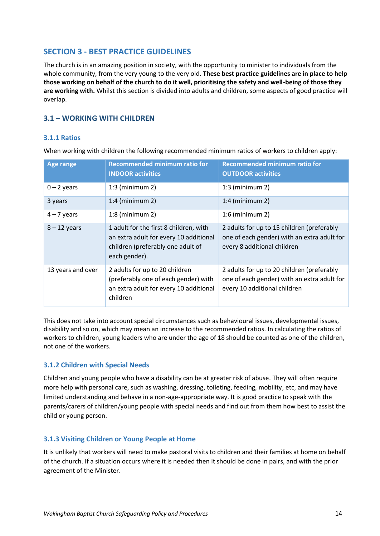# <span id="page-13-0"></span>**SECTION 3 - BEST PRACTICE GUIDELINES**

The church is in an amazing position in society, with the opportunity to minister to individuals from the whole community, from the very young to the very old. **These best practice guidelines are in place to help those working on behalf of the church to do it well, prioritising the safety and well-being of those they are working with.** Whilst this section is divided into adults and children, some aspects of good practice will overlap.

# <span id="page-13-1"></span>**3.1 – WORKING WITH CHILDREN**

# <span id="page-13-2"></span>**3.1.1 Ratios**

When working with children the following recommended minimum ratios of workers to children apply:

| <b>Age range</b>  | <b>Recommended minimum ratio for</b><br><b>INDOOR activities</b>                                                                       | <b>Recommended minimum ratio for</b><br><b>OUTDOOR activities</b>                                                         |
|-------------------|----------------------------------------------------------------------------------------------------------------------------------------|---------------------------------------------------------------------------------------------------------------------------|
| $0 - 2$ years     | $1:3$ (minimum 2)                                                                                                                      | $1:3$ (minimum 2)                                                                                                         |
| 3 years           | $1:4$ (minimum 2)                                                                                                                      | $1:4$ (minimum 2)                                                                                                         |
| $4 - 7$ years     | $1:8$ (minimum 2)                                                                                                                      | $1:6$ (minimum 2)                                                                                                         |
| $8 - 12$ years    | 1 adult for the first 8 children, with<br>an extra adult for every 10 additional<br>children (preferably one adult of<br>each gender). | 2 adults for up to 15 children (preferably<br>one of each gender) with an extra adult for<br>every 8 additional children  |
| 13 years and over | 2 adults for up to 20 children<br>(preferably one of each gender) with<br>an extra adult for every 10 additional<br>children           | 2 adults for up to 20 children (preferably<br>one of each gender) with an extra adult for<br>every 10 additional children |

This does not take into account special circumstances such as behavioural issues, developmental issues, disability and so on, which may mean an increase to the recommended ratios. In calculating the ratios of workers to children, young leaders who are under the age of 18 should be counted as one of the children, not one of the workers.

### <span id="page-13-3"></span>**3.1.2 Children with Special Needs**

Children and young people who have a disability can be at greater risk of abuse. They will often require more help with personal care, such as washing, dressing, toileting, feeding, mobility, etc, and may have limited understanding and behave in a non-age-appropriate way. It is good practice to speak with the parents/carers of children/young people with special needs and find out from them how best to assist the child or young person.

### <span id="page-13-4"></span>**3.1.3 Visiting Children or Young People at Home**

It is unlikely that workers will need to make pastoral visits to children and their families at home on behalf of the church. If a situation occurs where it is needed then it should be done in pairs, and with the prior agreement of the Minister.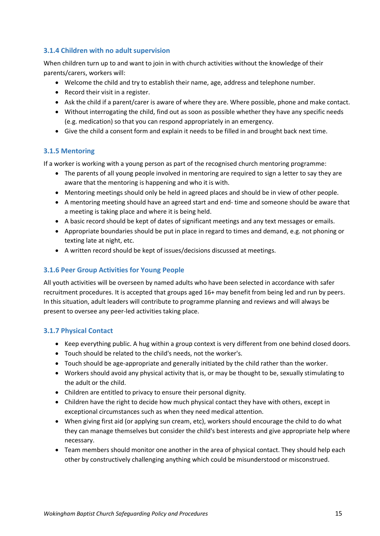# <span id="page-14-0"></span>**3.1.4 Children with no adult supervision**

When children turn up to and want to join in with church activities without the knowledge of their parents/carers, workers will:

- Welcome the child and try to establish their name, age, address and telephone number.
- Record their visit in a register.
- Ask the child if a parent/carer is aware of where they are. Where possible, phone and make contact.
- Without interrogating the child, find out as soon as possible whether they have any specific needs (e.g. medication) so that you can respond appropriately in an emergency.
- Give the child a consent form and explain it needs to be filled in and brought back next time.

# <span id="page-14-1"></span>**3.1.5 Mentoring**

If a worker is working with a young person as part of the recognised church mentoring programme:

- The parents of all young people involved in mentoring are required to sign a letter to say they are aware that the mentoring is happening and who it is with.
- Mentoring meetings should only be held in agreed places and should be in view of other people.
- A mentoring meeting should have an agreed start and end- time and someone should be aware that a meeting is taking place and where it is being held.
- A basic record should be kept of dates of significant meetings and any text messages or emails.
- Appropriate boundaries should be put in place in regard to times and demand, e.g. not phoning or texting late at night, etc.
- A written record should be kept of issues/decisions discussed at meetings.

# <span id="page-14-2"></span>**3.1.6 Peer Group Activities for Young People**

All youth activities will be overseen by named adults who have been selected in accordance with safer recruitment procedures. It is accepted that groups aged 16+ may benefit from being led and run by peers. In this situation, adult leaders will contribute to programme planning and reviews and will always be present to oversee any peer-led activities taking place.

# <span id="page-14-3"></span>**3.1.7 Physical Contact**

- Keep everything public. A hug within a group context is very different from one behind closed doors.
- Touch should be related to the child's needs, not the worker's.
- Touch should be age-appropriate and generally initiated by the child rather than the worker.
- Workers should avoid any physical activity that is, or may be thought to be, sexually stimulating to the adult or the child.
- Children are entitled to privacy to ensure their personal dignity.
- Children have the right to decide how much physical contact they have with others, except in exceptional circumstances such as when they need medical attention.
- When giving first aid (or applying sun cream, etc), workers should encourage the child to do what they can manage themselves but consider the child's best interests and give appropriate help where necessary.
- Team members should monitor one another in the area of physical contact. They should help each other by constructively challenging anything which could be misunderstood or misconstrued.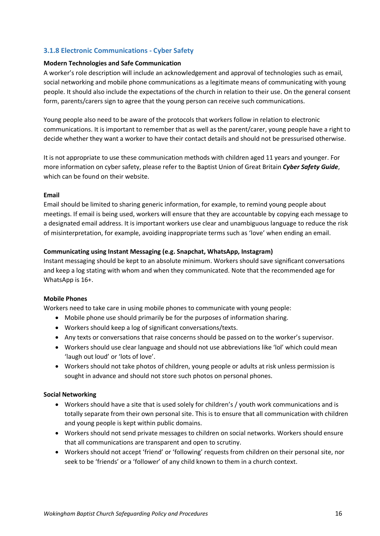# <span id="page-15-0"></span>**3.1.8 Electronic Communications - Cyber Safety**

### **Modern Technologies and Safe Communication**

A worker's role description will include an acknowledgement and approval of technologies such as email, social networking and mobile phone communications as a legitimate means of communicating with young people. It should also include the expectations of the church in relation to their use. On the general consent form, parents/carers sign to agree that the young person can receive such communications.

Young people also need to be aware of the protocols that workers follow in relation to electronic communications. It is important to remember that as well as the parent/carer, young people have a right to decide whether they want a worker to have their contact details and should not be pressurised otherwise.

It is not appropriate to use these communication methods with children aged 11 years and younger. For more information on cyber safety, please refer to the Baptist Union of Great Britain *Cyber Safety Guide*, which can be found on their website.

### **Email**

Email should be limited to sharing generic information, for example, to remind young people about meetings. If email is being used, workers will ensure that they are accountable by copying each message to a designated email address. It is important workers use clear and unambiguous language to reduce the risk of misinterpretation, for example, avoiding inappropriate terms such as 'love' when ending an email.

### **Communicating using Instant Messaging (e.g. Snapchat, WhatsApp, Instagram)**

Instant messaging should be kept to an absolute minimum. Workers should save significant conversations and keep a log stating with whom and when they communicated. Note that the recommended age for WhatsApp is 16+.

### **Mobile Phones**

Workers need to take care in using mobile phones to communicate with young people:

- Mobile phone use should primarily be for the purposes of information sharing.
- Workers should keep a log of significant conversations/texts.
- Any texts or conversations that raise concerns should be passed on to the worker's supervisor.
- Workers should use clear language and should not use abbreviations like 'lol' which could mean 'laugh out loud' or 'lots of love'.
- Workers should not take photos of children, young people or adults at risk unless permission is sought in advance and should not store such photos on personal phones.

### **Social Networking**

- Workers should have a site that is used solely for children's / youth work communications and is totally separate from their own personal site. This is to ensure that all communication with children and young people is kept within public domains.
- Workers should not send private messages to children on social networks. Workers should ensure that all communications are transparent and open to scrutiny.
- Workers should not accept 'friend' or 'following' requests from children on their personal site, nor seek to be 'friends' or a 'follower' of any child known to them in a church context.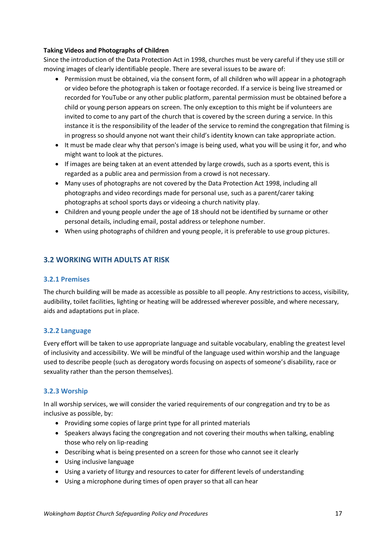### **Taking Videos and Photographs of Children**

Since the introduction of the Data Protection Act in 1998, churches must be very careful if they use still or moving images of clearly identifiable people. There are several issues to be aware of:

- Permission must be obtained, via the consent form, of all children who will appear in a photograph or video before the photograph is taken or footage recorded. If a service is being live streamed or recorded for YouTube or any other public platform, parental permission must be obtained before a child or young person appears on screen. The only exception to this might be if volunteers are invited to come to any part of the church that is covered by the screen during a service. In this instance it is the responsibility of the leader of the service to remind the congregation that filming is in progress so should anyone not want their child's identity known can take appropriate action.
- It must be made clear why that person's image is being used, what you will be using it for, and who might want to look at the pictures.
- If images are being taken at an event attended by large crowds, such as a sports event, this is regarded as a public area and permission from a crowd is not necessary.
- Many uses of photographs are not covered by the Data Protection Act 1998, including all photographs and video recordings made for personal use, such as a parent/carer taking photographs at school sports days or videoing a church nativity play.
- Children and young people under the age of 18 should not be identified by surname or other personal details, including email, postal address or telephone number.
- When using photographs of children and young people, it is preferable to use group pictures.

# <span id="page-16-0"></span>**3.2 WORKING WITH ADULTS AT RISK**

### <span id="page-16-1"></span>**3.2.1 Premises**

The church building will be made as accessible as possible to all people. Any restrictions to access, visibility, audibility, toilet facilities, lighting or heating will be addressed wherever possible, and where necessary, aids and adaptations put in place.

### <span id="page-16-2"></span>**3.2.2 Language**

Every effort will be taken to use appropriate language and suitable vocabulary, enabling the greatest level of inclusivity and accessibility. We will be mindful of the language used within worship and the language used to describe people (such as derogatory words focusing on aspects of someone's disability, race or sexuality rather than the person themselves).

### <span id="page-16-3"></span>**3.2.3 Worship**

In all worship services, we will consider the varied requirements of our congregation and try to be as inclusive as possible, by:

- Providing some copies of large print type for all printed materials
- Speakers always facing the congregation and not covering their mouths when talking, enabling those who rely on lip-reading
- Describing what is being presented on a screen for those who cannot see it clearly
- Using inclusive language
- Using a variety of liturgy and resources to cater for different levels of understanding
- Using a microphone during times of open prayer so that all can hear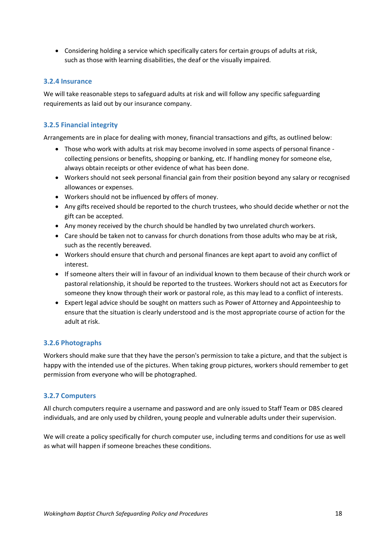• Considering holding a service which specifically caters for certain groups of adults at risk, such as those with learning disabilities, the deaf or the visually impaired.

### <span id="page-17-0"></span>**3.2.4 Insurance**

We will take reasonable steps to safeguard adults at risk and will follow any specific safeguarding requirements as laid out by our insurance company.

# <span id="page-17-1"></span>**3.2.5 Financial integrity**

Arrangements are in place for dealing with money, financial transactions and gifts, as outlined below:

- Those who work with adults at risk may become involved in some aspects of personal finance collecting pensions or benefits, shopping or banking, etc. If handling money for someone else, always obtain receipts or other evidence of what has been done.
- Workers should not seek personal financial gain from their position beyond any salary or recognised allowances or expenses.
- Workers should not be influenced by offers of money.
- Any gifts received should be reported to the church trustees, who should decide whether or not the gift can be accepted.
- Any money received by the church should be handled by two unrelated church workers.
- Care should be taken not to canvass for church donations from those adults who may be at risk, such as the recently bereaved.
- Workers should ensure that church and personal finances are kept apart to avoid any conflict of interest.
- If someone alters their will in favour of an individual known to them because of their church work or pastoral relationship, it should be reported to the trustees. Workers should not act as Executors for someone they know through their work or pastoral role, as this may lead to a conflict of interests.
- Expert legal advice should be sought on matters such as Power of Attorney and Appointeeship to ensure that the situation is clearly understood and is the most appropriate course of action for the adult at risk.

# <span id="page-17-2"></span>**3.2.6 Photographs**

Workers should make sure that they have the person's permission to take a picture, and that the subject is happy with the intended use of the pictures. When taking group pictures, workers should remember to get permission from everyone who will be photographed.

# <span id="page-17-3"></span>**3.2.7 Computers**

All church computers require a username and password and are only issued to Staff Team or DBS cleared individuals, and are only used by children, young people and vulnerable adults under their supervision.

We will create a policy specifically for church computer use, including terms and conditions for use as well as what will happen if someone breaches these conditions.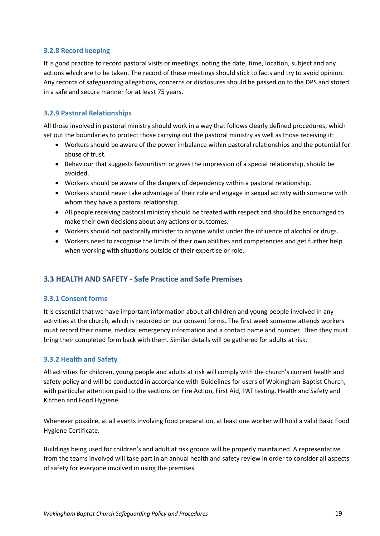# <span id="page-18-0"></span>**3.2.8 Record keeping**

It is good practice to record pastoral visits or meetings, noting the date, time, location, subject and any actions which are to be taken. The record of these meetings should stick to facts and try to avoid opinion. Any records of safeguarding allegations, concerns or disclosures should be passed on to the DPS and stored in a safe and secure manner for at least 75 years.

# <span id="page-18-1"></span>**3.2.9 Pastoral Relationships**

All those involved in pastoral ministry should work in a way that follows clearly defined procedures, which set out the boundaries to protect those carrying out the pastoral ministry as well as those receiving it:

- Workers should be aware of the power imbalance within pastoral relationships and the potential for abuse of trust.
- Behaviour that suggests favouritism or gives the impression of a special relationship, should be avoided.
- Workers should be aware of the dangers of dependency within a pastoral relationship.
- Workers should never take advantage of their role and engage in sexual activity with someone with whom they have a pastoral relationship.
- All people receiving pastoral ministry should be treated with respect and should be encouraged to make their own decisions about any actions or outcomes.
- Workers should not pastorally minister to anyone whilst under the influence of alcohol or drugs.
- Workers need to recognise the limits of their own abilities and competencies and get further help when working with situations outside of their expertise or role.

# <span id="page-18-2"></span>**3.3 HEALTH AND SAFETY - Safe Practice and Safe Premises**

### <span id="page-18-3"></span>**3.3.1 Consent forms**

It is essential that we have important information about all children and young people involved in any activities at the church, which is recorded on our consent forms**.** The first week someone attends workers must record their name, medical emergency information and a contact name and number. Then they must bring their completed form back with them. Similar details will be gathered for adults at risk.

# <span id="page-18-4"></span>**3.3.2 Health and Safety**

All activities for children, young people and adults at risk will comply with the church's current health and safety policy and will be conducted in accordance with Guidelines for users of Wokingham Baptist Church, with particular attention paid to the sections on Fire Action, First Aid, PAT testing, Health and Safety and Kitchen and Food Hygiene.

Whenever possible, at all events involving food preparation, at least one worker will hold a valid Basic Food Hygiene Certificate.

Buildings being used for children's and adult at risk groups will be properly maintained. A representative from the teams involved will take part in an annual health and safety review in order to consider all aspects of safety for everyone involved in using the premises.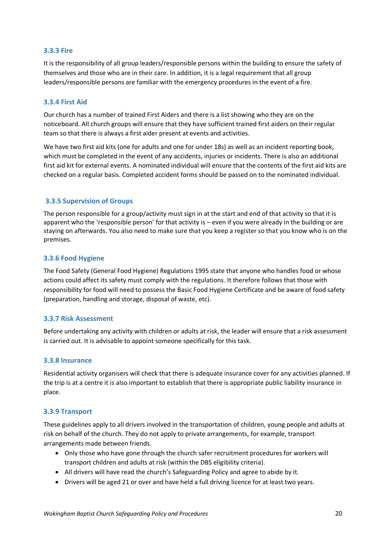### <span id="page-19-0"></span>**3.3.3 Fire**

It is the responsibility of all group leaders/responsible persons within the building to ensure the safety of themselves and those who are in their care. In addition, it is a legal requirement that all group leaders/responsible persons are familiar with the emergency procedures in the event of a fire.

### <span id="page-19-1"></span>**3.3.4 First Aid**

Our church has a number of trained First Aiders and there is a list showing who they are on the noticeboard. All church groups will ensure that they have sufficient trained first aiders on their regular team so that there is always a first aider present at events and activities.

We have two first aid kits (one for adults and one for under 18s) as well as an incident reporting book, which must be completed in the event of any accidents, injuries or incidents. There is also an additional first aid kit for external events. A nominated individual will ensure that the contents of the first aid kits are checked on a regular basis. Completed accident forms should be passed on to the nominated individual.

### <span id="page-19-2"></span>**3.3.5 Supervision of Groups**

The person responsible for a group/activity must sign in at the start and end of that activity so that it is apparent who the 'responsible person' for that activity is – even if you were already in the building or are staying on afterwards. You also need to make sure that you keep a register so that you know who is on the premises.

### <span id="page-19-3"></span>**3.3.6 Food Hygiene**

The Food Safety (General Food Hygiene) Regulations 1995 state that anyone who handles food or whose actions could affect its safety must comply with the regulations. It therefore follows that those with responsibility for food will need to possess the Basic Food Hygiene Certificate and be aware of food safety (preparation, handling and storage, disposal of waste, etc).

### <span id="page-19-4"></span>**3.3.7 Risk Assessment**

Before undertaking any activity with children or adults at risk, the leader will ensure that a risk assessment is carried out. It is advisable to appoint someone specifically for this task.

### <span id="page-19-5"></span>**3.3.8 Insurance**

Residential activity organisers will check that there is adequate insurance cover for any activities planned. If the trip is at a centre it is also important to establish that there is appropriate public liability insurance in place.

### <span id="page-19-6"></span>**3.3.9 Transport**

These guidelines apply to all drivers involved in the transportation of children, young people and adults at risk on behalf of the church. They do not apply to private arrangements, for example, transport arrangements made between friends.

- Only those who have gone through the church safer recruitment procedures for workers will transport children and adults at risk (within the DBS eligibility criteria).
- All drivers will have read the church's Safeguarding Policy and agree to abide by it.
- Drivers will be aged 21 or over and have held a full driving licence for at least two years.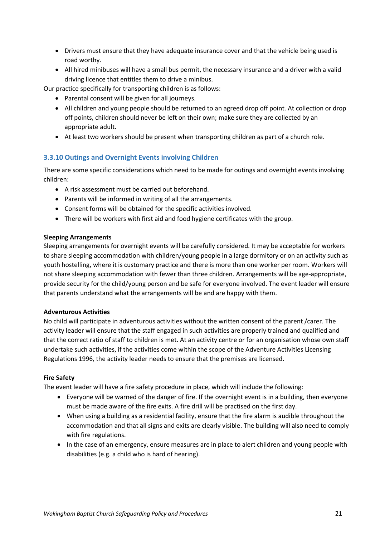- Drivers must ensure that they have adequate insurance cover and that the vehicle being used is road worthy.
- All hired minibuses will have a small bus permit, the necessary insurance and a driver with a valid driving licence that entitles them to drive a minibus.

Our practice specifically for transporting children is as follows:

- Parental consent will be given for all journeys.
- All children and young people should be returned to an agreed drop off point. At collection or drop off points, children should never be left on their own; make sure they are collected by an appropriate adult.
- At least two workers should be present when transporting children as part of a church role.

### <span id="page-20-0"></span>**3.3.10 Outings and Overnight Events involving Children**

There are some specific considerations which need to be made for outings and overnight events involving children:

- A risk assessment must be carried out beforehand.
- Parents will be informed in writing of all the arrangements.
- Consent forms will be obtained for the specific activities involved.
- There will be workers with first aid and food hygiene certificates with the group.

### **Sleeping Arrangements**

Sleeping arrangements for overnight events will be carefully considered. It may be acceptable for workers to share sleeping accommodation with children/young people in a large dormitory or on an activity such as youth hostelling, where it is customary practice and there is more than one worker per room. Workers will not share sleeping accommodation with fewer than three children. Arrangements will be age-appropriate, provide security for the child/young person and be safe for everyone involved. The event leader will ensure that parents understand what the arrangements will be and are happy with them.

### **Adventurous Activities**

No child will participate in adventurous activities without the written consent of the parent /carer. The activity leader will ensure that the staff engaged in such activities are properly trained and qualified and that the correct ratio of staff to children is met. At an activity centre or for an organisation whose own staff undertake such activities, if the activities come within the scope of the Adventure Activities Licensing Regulations 1996, the activity leader needs to ensure that the premises are licensed.

### **Fire Safety**

The event leader will have a fire safety procedure in place, which will include the following:

- Everyone will be warned of the danger of fire. If the overnight event is in a building, then everyone must be made aware of the fire exits. A fire drill will be practised on the first day.
- When using a building as a residential facility, ensure that the fire alarm is audible throughout the accommodation and that all signs and exits are clearly visible. The building will also need to comply with fire regulations.
- In the case of an emergency, ensure measures are in place to alert children and young people with disabilities (e.g. a child who is hard of hearing).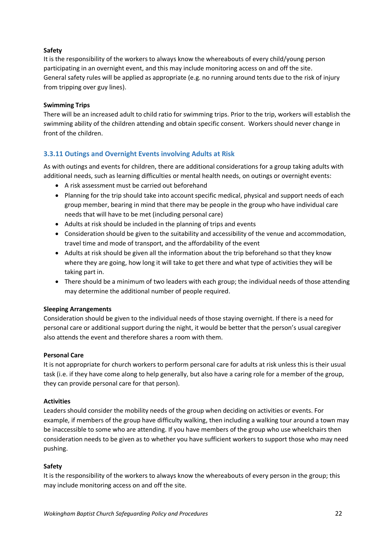### **Safety**

It is the responsibility of the workers to always know the whereabouts of every child/young person participating in an overnight event, and this may include monitoring access on and off the site. General safety rules will be applied as appropriate (e.g. no running around tents due to the risk of injury from tripping over guy lines).

### **Swimming Trips**

There will be an increased adult to child ratio for swimming trips. Prior to the trip, workers will establish the swimming ability of the children attending and obtain specific consent. Workers should never change in front of the children.

# <span id="page-21-0"></span>**3.3.11 Outings and Overnight Events involving Adults at Risk**

As with outings and events for children, there are additional considerations for a group taking adults with additional needs, such as learning difficulties or mental health needs, on outings or overnight events:

- A risk assessment must be carried out beforehand
- Planning for the trip should take into account specific medical, physical and support needs of each group member, bearing in mind that there may be people in the group who have individual care needs that will have to be met (including personal care)
- Adults at risk should be included in the planning of trips and events
- Consideration should be given to the suitability and accessibility of the venue and accommodation, travel time and mode of transport, and the affordability of the event
- Adults at risk should be given all the information about the trip beforehand so that they know where they are going, how long it will take to get there and what type of activities they will be taking part in.
- There should be a minimum of two leaders with each group; the individual needs of those attending may determine the additional number of people required.

### **Sleeping Arrangements**

Consideration should be given to the individual needs of those staying overnight. If there is a need for personal care or additional support during the night, it would be better that the person's usual caregiver also attends the event and therefore shares a room with them.

### **Personal Care**

It is not appropriate for church workers to perform personal care for adults at risk unless this is their usual task (i.e. if they have come along to help generally, but also have a caring role for a member of the group, they can provide personal care for that person).

### **Activities**

Leaders should consider the mobility needs of the group when deciding on activities or events. For example, if members of the group have difficulty walking, then including a walking tour around a town may be inaccessible to some who are attending. If you have members of the group who use wheelchairs then consideration needs to be given as to whether you have sufficient workers to support those who may need pushing.

### **Safety**

It is the responsibility of the workers to always know the whereabouts of every person in the group; this may include monitoring access on and off the site.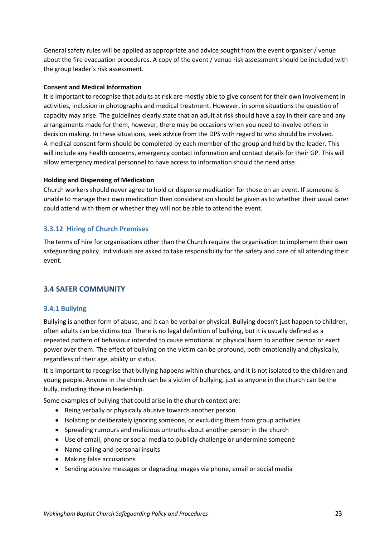General safety rules will be applied as appropriate and advice sought from the event organiser / venue about the fire evacuation procedures. A copy of the event / venue risk assessment should be included with the group leader's risk assessment.

### **Consent and Medical Information**

It is important to recognise that adults at risk are mostly able to give consent for their own involvement in activities, inclusion in photographs and medical treatment. However, in some situations the question of capacity may arise. The guidelines clearly state that an adult at risk should have a say in their care and any arrangements made for them, however, there may be occasions when you need to involve others in decision making. In these situations, seek advice from the DPS with regard to who should be involved. A medical consent form should be completed by each member of the group and held by the leader. This will include any health concerns, emergency contact information and contact details for their GP. This will allow emergency medical personnel to have access to information should the need arise.

### **Holding and Dispensing of Medication**

Church workers should never agree to hold or dispense medication for those on an event. If someone is unable to manage their own medication then consideration should be given as to whether their usual carer could attend with them or whether they will not be able to attend the event.

# <span id="page-22-0"></span>**3.3.12 Hiring of Church Premises**

The terms of hire for organisations other than the Church require the organisation to implement their own safeguarding policy. Individuals are asked to take responsibility for the safety and care of all attending their event.

# <span id="page-22-1"></span>**3.4 SAFER COMMUNITY**

### <span id="page-22-2"></span>**3.4.1 Bullying**

Bullying is another form of abuse, and it can be verbal or physical. Bullying doesn't just happen to children, often adults can be victims too. There is no legal definition of bullying, but it is usually defined as a repeated pattern of behaviour intended to cause emotional or physical harm to another person or exert power over them. The effect of bullying on the victim can be profound, both emotionally and physically, regardless of their age, ability or status.

It is important to recognise that bullying happens within churches, and it is not isolated to the children and young people. Anyone in the church can be a victim of bullying, just as anyone in the church can be the bully, including those in leadership.

Some examples of bullying that could arise in the church context are:

- Being verbally or physically abusive towards another person
- Isolating or deliberately ignoring someone, or excluding them from group activities
- Spreading rumours and malicious untruths about another person in the church
- Use of email, phone or social media to publicly challenge or undermine someone
- Name calling and personal insults
- Making false accusations
- Sending abusive messages or degrading images via phone, email or social media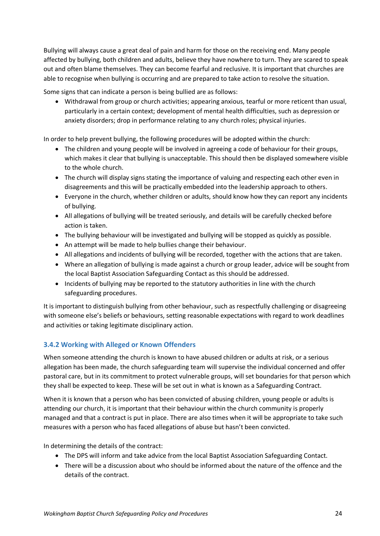Bullying will always cause a great deal of pain and harm for those on the receiving end. Many people affected by bullying, both children and adults, believe they have nowhere to turn. They are scared to speak out and often blame themselves. They can become fearful and reclusive. It is important that churches are able to recognise when bullying is occurring and are prepared to take action to resolve the situation.

Some signs that can indicate a person is being bullied are as follows:

• Withdrawal from group or church activities; appearing anxious, tearful or more reticent than usual, particularly in a certain context; development of mental health difficulties, such as depression or anxiety disorders; drop in performance relating to any church roles; physical injuries.

In order to help prevent bullying, the following procedures will be adopted within the church:

- The children and young people will be involved in agreeing a code of behaviour for their groups, which makes it clear that bullying is unacceptable. This should then be displayed somewhere visible to the whole church.
- The church will display signs stating the importance of valuing and respecting each other even in disagreements and this will be practically embedded into the leadership approach to others.
- Everyone in the church, whether children or adults, should know how they can report any incidents of bullying.
- All allegations of bullying will be treated seriously, and details will be carefully checked before action is taken.
- The bullying behaviour will be investigated and bullying will be stopped as quickly as possible.
- An attempt will be made to help bullies change their behaviour.
- All allegations and incidents of bullying will be recorded, together with the actions that are taken.
- Where an allegation of bullying is made against a church or group leader, advice will be sought from the local Baptist Association Safeguarding Contact as this should be addressed.
- Incidents of bullying may be reported to the statutory authorities in line with the church safeguarding procedures.

It is important to distinguish bullying from other behaviour, such as respectfully challenging or disagreeing with someone else's beliefs or behaviours, setting reasonable expectations with regard to work deadlines and activities or taking legitimate disciplinary action.

# <span id="page-23-0"></span>**3.4.2 Working with Alleged or Known Offenders**

When someone attending the church is known to have abused children or adults at risk, or a serious allegation has been made, the church safeguarding team will supervise the individual concerned and offer pastoral care, but in its commitment to protect vulnerable groups, will set boundaries for that person which they shall be expected to keep. These will be set out in what is known as a Safeguarding Contract.

When it is known that a person who has been convicted of abusing children, young people or adults is attending our church, it is important that their behaviour within the church community is properly managed and that a contract is put in place. There are also times when it will be appropriate to take such measures with a person who has faced allegations of abuse but hasn't been convicted.

In determining the details of the contract:

- The DPS will inform and take advice from the local Baptist Association Safeguarding Contact.
- There will be a discussion about who should be informed about the nature of the offence and the details of the contract.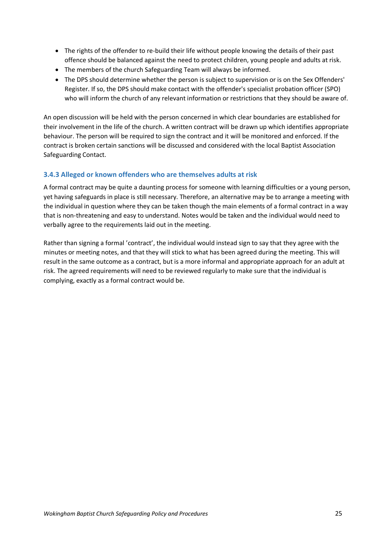- The rights of the offender to re-build their life without people knowing the details of their past offence should be balanced against the need to protect children, young people and adults at risk.
- The members of the church Safeguarding Team will always be informed.
- The DPS should determine whether the person is subject to supervision or is on the Sex Offenders' Register. If so, the DPS should make contact with the offender's specialist probation officer (SPO) who will inform the church of any relevant information or restrictions that they should be aware of.

An open discussion will be held with the person concerned in which clear boundaries are established for their involvement in the life of the church. A written contract will be drawn up which identifies appropriate behaviour. The person will be required to sign the contract and it will be monitored and enforced. If the contract is broken certain sanctions will be discussed and considered with the local Baptist Association Safeguarding Contact.

# <span id="page-24-0"></span>**3.4.3 Alleged or known offenders who are themselves adults at risk**

A formal contract may be quite a daunting process for someone with learning difficulties or a young person, yet having safeguards in place is still necessary. Therefore, an alternative may be to arrange a meeting with the individual in question where they can be taken though the main elements of a formal contract in a way that is non-threatening and easy to understand. Notes would be taken and the individual would need to verbally agree to the requirements laid out in the meeting.

Rather than signing a formal 'contract', the individual would instead sign to say that they agree with the minutes or meeting notes, and that they will stick to what has been agreed during the meeting. This will result in the same outcome as a contract, but is a more informal and appropriate approach for an adult at risk. The agreed requirements will need to be reviewed regularly to make sure that the individual is complying, exactly as a formal contract would be.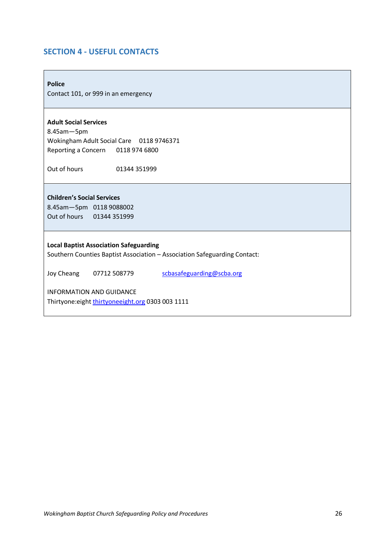# <span id="page-25-0"></span>**SECTION 4 - USEFUL CONTACTS**

**Police**

Contact 101, or 999 in an emergency

### **Adult Social Services**

8.45am—5pm Wokingham Adult Social Care 0118 9746371 Reporting a Concern 0118 974 6800

Out of hours 01344 351999

**Children's Social Services**  8.45am—5pm 0118 9088002 Out of hours 01344 351999

#### **Local Baptist Association Safeguarding**

Southern Counties Baptist Association – Association Safeguarding Contact:

Joy Cheang 07712 508779 [scbasafeguarding@scba.org](mailto:scbasafeguarding@scba.org)

INFORMATION AND GUIDANCE Thirtyone: eight [thirtyoneeight.org](https://thirtyoneeight.org/) 0303 003 1111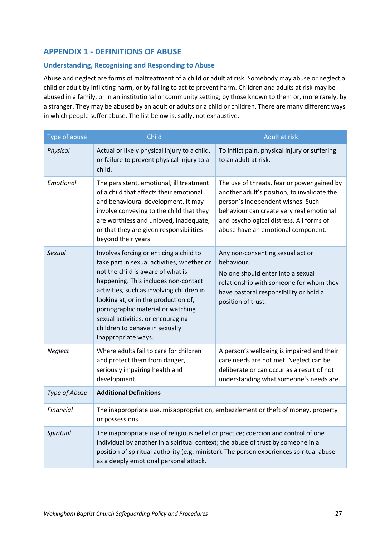# <span id="page-26-0"></span>**APPENDIX 1 - DEFINITIONS OF ABUSE**

# <span id="page-26-1"></span>**Understanding, Recognising and Responding to Abuse**

Abuse and neglect are forms of maltreatment of a child or adult at risk. Somebody may abuse or neglect a child or adult by inflicting harm, or by failing to act to prevent harm. Children and adults at risk may be abused in a family, or in an institutional or community setting; by those known to them or, more rarely, by a stranger. They may be abused by an adult or adults or a child or children. There are many different ways in which people suffer abuse. The list below is, sadly, not exhaustive.

| Type of abuse | Child                                                                                                                                                                                                                                                                                                                                                                                      | Adult at risk                                                                                                                                                                                                                                                 |
|---------------|--------------------------------------------------------------------------------------------------------------------------------------------------------------------------------------------------------------------------------------------------------------------------------------------------------------------------------------------------------------------------------------------|---------------------------------------------------------------------------------------------------------------------------------------------------------------------------------------------------------------------------------------------------------------|
| Physical      | Actual or likely physical injury to a child,<br>or failure to prevent physical injury to a<br>child.                                                                                                                                                                                                                                                                                       | To inflict pain, physical injury or suffering<br>to an adult at risk.                                                                                                                                                                                         |
| Emotional     | The persistent, emotional, ill treatment<br>of a child that affects their emotional<br>and behavioural development. It may<br>involve conveying to the child that they<br>are worthless and unloved, inadequate,<br>or that they are given responsibilities<br>beyond their years.                                                                                                         | The use of threats, fear or power gained by<br>another adult's position, to invalidate the<br>person's independent wishes. Such<br>behaviour can create very real emotional<br>and psychological distress. All forms of<br>abuse have an emotional component. |
| Sexual        | Involves forcing or enticing a child to<br>take part in sexual activities, whether or<br>not the child is aware of what is<br>happening. This includes non-contact<br>activities, such as involving children in<br>looking at, or in the production of,<br>pornographic material or watching<br>sexual activities, or encouraging<br>children to behave in sexually<br>inappropriate ways. | Any non-consenting sexual act or<br>behaviour.<br>No one should enter into a sexual<br>relationship with someone for whom they<br>have pastoral responsibility or hold a<br>position of trust.                                                                |
| Neglect       | Where adults fail to care for children<br>and protect them from danger,<br>seriously impairing health and<br>development.                                                                                                                                                                                                                                                                  | A person's wellbeing is impaired and their<br>care needs are not met. Neglect can be<br>deliberate or can occur as a result of not<br>understanding what someone's needs are.                                                                                 |
| Type of Abuse | <b>Additional Definitions</b>                                                                                                                                                                                                                                                                                                                                                              |                                                                                                                                                                                                                                                               |
| Financial     | or possessions.                                                                                                                                                                                                                                                                                                                                                                            | The inappropriate use, misappropriation, embezzlement or theft of money, property                                                                                                                                                                             |
| Spiritual     | The inappropriate use of religious belief or practice; coercion and control of one<br>individual by another in a spiritual context; the abuse of trust by someone in a<br>position of spiritual authority (e.g. minister). The person experiences spiritual abuse<br>as a deeply emotional personal attack.                                                                                |                                                                                                                                                                                                                                                               |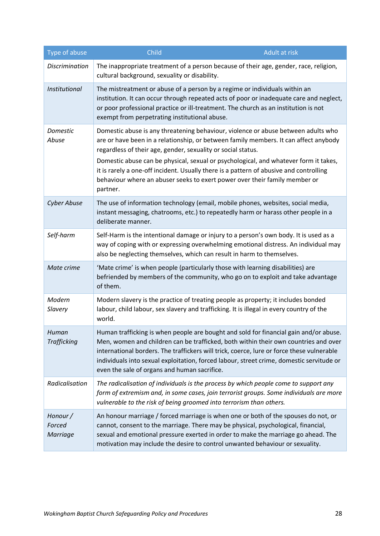| Type of abuse                         | Child                                                                                                                                                                                                              | Adult at risk                                                                                                                                                                                                                                                                                                                                                         |
|---------------------------------------|--------------------------------------------------------------------------------------------------------------------------------------------------------------------------------------------------------------------|-----------------------------------------------------------------------------------------------------------------------------------------------------------------------------------------------------------------------------------------------------------------------------------------------------------------------------------------------------------------------|
| <b>Discrimination</b>                 | cultural background, sexuality or disability.                                                                                                                                                                      | The inappropriate treatment of a person because of their age, gender, race, religion,                                                                                                                                                                                                                                                                                 |
| Institutional                         | The mistreatment or abuse of a person by a regime or individuals within an<br>or poor professional practice or ill-treatment. The church as an institution is not<br>exempt from perpetrating institutional abuse. | institution. It can occur through repeated acts of poor or inadequate care and neglect,                                                                                                                                                                                                                                                                               |
| Domestic<br>Abuse                     | regardless of their age, gender, sexuality or social status.<br>behaviour where an abuser seeks to exert power over their family member or<br>partner.                                                             | Domestic abuse is any threatening behaviour, violence or abuse between adults who<br>are or have been in a relationship, or between family members. It can affect anybody<br>Domestic abuse can be physical, sexual or psychological, and whatever form it takes,<br>it is rarely a one-off incident. Usually there is a pattern of abusive and controlling           |
| Cyber Abuse                           | deliberate manner.                                                                                                                                                                                                 | The use of information technology (email, mobile phones, websites, social media,<br>instant messaging, chatrooms, etc.) to repeatedly harm or harass other people in a                                                                                                                                                                                                |
| Self-harm                             | also be neglecting themselves, which can result in harm to themselves.                                                                                                                                             | Self-Harm is the intentional damage or injury to a person's own body. It is used as a<br>way of coping with or expressing overwhelming emotional distress. An individual may                                                                                                                                                                                          |
| Mate crime                            | 'Mate crime' is when people (particularly those with learning disabilities) are<br>of them.                                                                                                                        | befriended by members of the community, who go on to exploit and take advantage                                                                                                                                                                                                                                                                                       |
| Modern<br>Slavery                     | world.                                                                                                                                                                                                             | Modern slavery is the practice of treating people as property; it includes bonded<br>labour, child labour, sex slavery and trafficking. It is illegal in every country of the                                                                                                                                                                                         |
| Human<br><b>Trafficking</b>           | even the sale of organs and human sacrifice.                                                                                                                                                                       | Human trafficking is when people are bought and sold for financial gain and/or abuse.<br>Men, women and children can be trafficked, both within their own countries and over<br>international borders. The traffickers will trick, coerce, lure or force these vulnerable<br>individuals into sexual exploitation, forced labour, street crime, domestic servitude or |
| Radicalisation                        | vulnerable to the risk of being groomed into terrorism than others.                                                                                                                                                | The radicalisation of individuals is the process by which people come to support any<br>form of extremism and, in some cases, join terrorist groups. Some individuals are more                                                                                                                                                                                        |
| Honour /<br>Forced<br><b>Marriage</b> | motivation may include the desire to control unwanted behaviour or sexuality.                                                                                                                                      | An honour marriage / forced marriage is when one or both of the spouses do not, or<br>cannot, consent to the marriage. There may be physical, psychological, financial,<br>sexual and emotional pressure exerted in order to make the marriage go ahead. The                                                                                                          |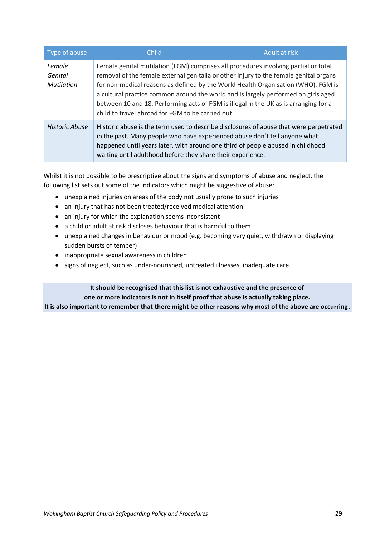| Type of abuse                          | Child                                                       | Adult at risk                                                                                                                                                                                                                                                                                                                                                                                                                                   |
|----------------------------------------|-------------------------------------------------------------|-------------------------------------------------------------------------------------------------------------------------------------------------------------------------------------------------------------------------------------------------------------------------------------------------------------------------------------------------------------------------------------------------------------------------------------------------|
| Female<br>Genital<br><b>Mutilation</b> | child to travel abroad for FGM to be carried out.           | Female genital mutilation (FGM) comprises all procedures involving partial or total<br>removal of the female external genitalia or other injury to the female genital organs<br>for non-medical reasons as defined by the World Health Organisation (WHO). FGM is<br>a cultural practice common around the world and is largely performed on girls aged<br>between 10 and 18. Performing acts of FGM is illegal in the UK as is arranging for a |
| Historic Abuse                         | waiting until adulthood before they share their experience. | Historic abuse is the term used to describe disclosures of abuse that were perpetrated<br>in the past. Many people who have experienced abuse don't tell anyone what<br>happened until years later, with around one third of people abused in childhood                                                                                                                                                                                         |

Whilst it is not possible to be prescriptive about the signs and symptoms of abuse and neglect, the following list sets out some of the indicators which might be suggestive of abuse:

- unexplained injuries on areas of the body not usually prone to such injuries
- an injury that has not been treated/received medical attention
- an injury for which the explanation seems inconsistent
- a child or adult at risk discloses behaviour that is harmful to them
- unexplained changes in behaviour or mood (e.g. becoming very quiet, withdrawn or displaying sudden bursts of temper)
- inappropriate sexual awareness in children
- signs of neglect, such as under-nourished, untreated illnesses, inadequate care.

# **It should be recognised that this list is not exhaustive and the presence of one or more indicators is not in itself proof that abuse is actually taking place.**

**It is also important to remember that there might be other reasons why most of the above are occurring.**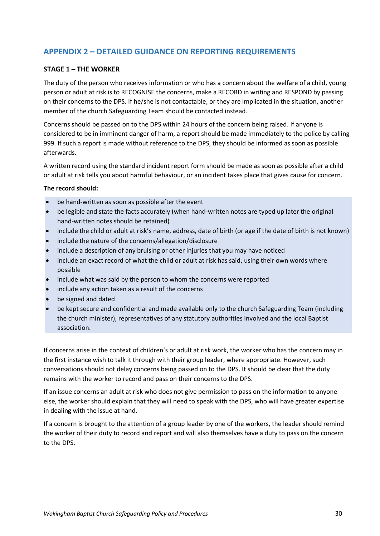# <span id="page-29-0"></span>**APPENDIX 2 – DETAILED GUIDANCE ON REPORTING REQUIREMENTS**

### **STAGE 1 – THE WORKER**

The duty of the person who receives information or who has a concern about the welfare of a child, young person or adult at risk is to RECOGNISE the concerns, make a RECORD in writing and RESPOND by passing on their concerns to the DPS. If he/she is not contactable, or they are implicated in the situation, another member of the church Safeguarding Team should be contacted instead.

Concerns should be passed on to the DPS within 24 hours of the concern being raised. If anyone is considered to be in imminent danger of harm, a report should be made immediately to the police by calling 999. If such a report is made without reference to the DPS, they should be informed as soon as possible afterwards.

A written record using the standard incident report form should be made as soon as possible after a child or adult at risk tells you about harmful behaviour, or an incident takes place that gives cause for concern.

### **The record should:**

- be hand-written as soon as possible after the event
- be legible and state the facts accurately (when hand-written notes are typed up later the original hand-written notes should be retained)
- include the child or adult at risk's name, address, date of birth (or age if the date of birth is not known)
- include the nature of the concerns/allegation/disclosure
- include a description of any bruising or other injuries that you may have noticed
- include an exact record of what the child or adult at risk has said, using their own words where possible
- include what was said by the person to whom the concerns were reported
- include any action taken as a result of the concerns
- be signed and dated
- be kept secure and confidential and made available only to the church Safeguarding Team (including the church minister), representatives of any statutory authorities involved and the local Baptist association.

If concerns arise in the context of children's or adult at risk work, the worker who has the concern may in the first instance wish to talk it through with their group leader, where appropriate. However, such conversations should not delay concerns being passed on to the DPS. It should be clear that the duty remains with the worker to record and pass on their concerns to the DPS.

If an issue concerns an adult at risk who does not give permission to pass on the information to anyone else, the worker should explain that they will need to speak with the DPS, who will have greater expertise in dealing with the issue at hand.

If a concern is brought to the attention of a group leader by one of the workers, the leader should remind the worker of their duty to record and report and will also themselves have a duty to pass on the concern to the DPS.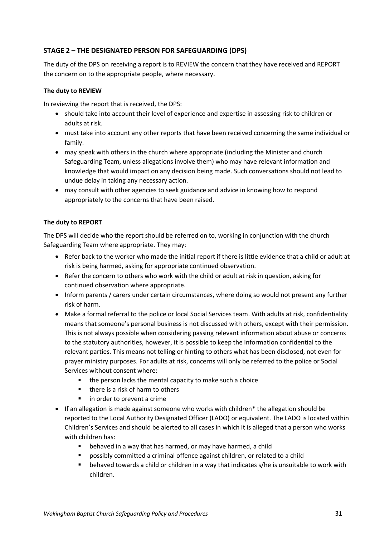# **STAGE 2 – THE DESIGNATED PERSON FOR SAFEGUARDING (DPS)**

The duty of the DPS on receiving a report is to REVIEW the concern that they have received and REPORT the concern on to the appropriate people, where necessary.

### **The duty to REVIEW**

In reviewing the report that is received, the DPS:

- should take into account their level of experience and expertise in assessing risk to children or adults at risk.
- must take into account any other reports that have been received concerning the same individual or family.
- may speak with others in the church where appropriate (including the Minister and church Safeguarding Team, unless allegations involve them) who may have relevant information and knowledge that would impact on any decision being made. Such conversations should not lead to undue delay in taking any necessary action.
- may consult with other agencies to seek guidance and advice in knowing how to respond appropriately to the concerns that have been raised.

# **The duty to REPORT**

The DPS will decide who the report should be referred on to, working in conjunction with the church Safeguarding Team where appropriate. They may:

- Refer back to the worker who made the initial report if there is little evidence that a child or adult at risk is being harmed, asking for appropriate continued observation.
- Refer the concern to others who work with the child or adult at risk in question, asking for continued observation where appropriate.
- Inform parents / carers under certain circumstances, where doing so would not present any further risk of harm.
- Make a formal referral to the police or local Social Services team. With adults at risk, confidentiality means that someone's personal business is not discussed with others, except with their permission. This is not always possible when considering passing relevant information about abuse or concerns to the statutory authorities, however, it is possible to keep the information confidential to the relevant parties. This means not telling or hinting to others what has been disclosed, not even for prayer ministry purposes. For adults at risk, concerns will only be referred to the police or Social Services without consent where:
	- the person lacks the mental capacity to make such a choice
	- there is a risk of harm to others
	- in order to prevent a crime
- If an allegation is made against someone who works with children\* the allegation should be reported to the Local Authority Designated Officer (LADO) or equivalent. The LADO is located within Children's Services and should be alerted to all cases in which it is alleged that a person who works with children has:
	- behaved in a way that has harmed, or may have harmed, a child
	- possibly committed a criminal offence against children, or related to a child
	- behaved towards a child or children in a way that indicates s/he is unsuitable to work with children.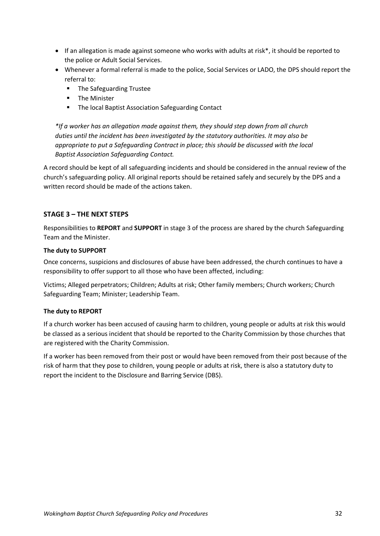- If an allegation is made against someone who works with adults at risk\*, it should be reported to the police or Adult Social Services.
- Whenever a formal referral is made to the police, Social Services or LADO, the DPS should report the referral to:
	- The Safeguarding Trustee
	- The Minister
	- The local Baptist Association Safeguarding Contact

*\*If a worker has an allegation made against them, they should step down from all church duties until the incident has been investigated by the statutory authorities. It may also be appropriate to put a Safeguarding Contract in place; this should be discussed with the local Baptist Association Safeguarding Contact.*

A record should be kept of all safeguarding incidents and should be considered in the annual review of the church's safeguarding policy. All original reports should be retained safely and securely by the DPS and a written record should be made of the actions taken.

# **STAGE 3 – THE NEXT STEPS**

Responsibilities to **REPORT** and **SUPPORT** in stage 3 of the process are shared by the church Safeguarding Team and the Minister.

### **The duty to SUPPORT**

Once concerns, suspicions and disclosures of abuse have been addressed, the church continues to have a responsibility to offer support to all those who have been affected, including:

Victims; Alleged perpetrators; Children; Adults at risk; Other family members; Church workers; Church Safeguarding Team; Minister; Leadership Team.

### **The duty to REPORT**

If a church worker has been accused of causing harm to children, young people or adults at risk this would be classed as a serious incident that should be reported to the Charity Commission by those churches that are registered with the Charity Commission.

If a worker has been removed from their post or would have been removed from their post because of the risk of harm that they pose to children, young people or adults at risk, there is also a statutory duty to report the incident to the Disclosure and Barring Service (DBS).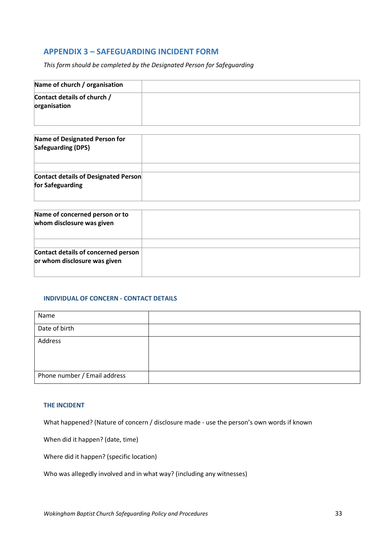# <span id="page-32-0"></span>**APPENDIX 3 – SAFEGUARDING INCIDENT FORM**

*This form should be completed by the Designated Person for Safeguarding*

| Name of church / organisation               |  |
|---------------------------------------------|--|
| Contact details of church /<br>organisation |  |

| Name of Designated Person for<br><b>Safeguarding (DPS)</b> |  |
|------------------------------------------------------------|--|
|                                                            |  |
| Contact details of Designated Person<br>for Safeguarding   |  |

| Name of concerned person or to<br>whom disclosure was given         |  |
|---------------------------------------------------------------------|--|
| Contact details of concerned person<br>or whom disclosure was given |  |

### **INDIVIDUAL OF CONCERN - CONTACT DETAILS**

| Name                         |  |
|------------------------------|--|
| Date of birth                |  |
| Address                      |  |
|                              |  |
|                              |  |
| Phone number / Email address |  |

### **THE INCIDENT**

What happened? (Nature of concern / disclosure made - use the person's own words if known

When did it happen? (date, time)

Where did it happen? (specific location)

Who was allegedly involved and in what way? (including any witnesses)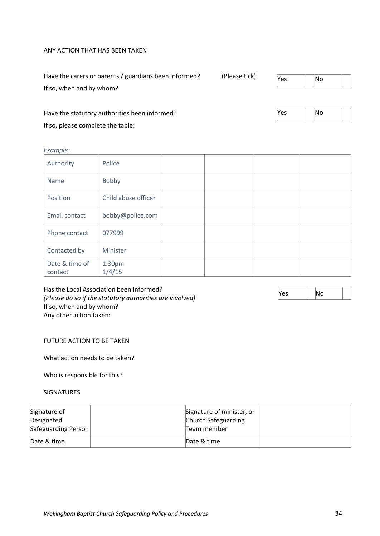#### ANY ACTION THAT HAS BEEN TAKEN

| Have the carers or parents / guardians been informed? | (Please tick) | Yes | No |  |
|-------------------------------------------------------|---------------|-----|----|--|
| If so, when and by whom?                              |               |     |    |  |

Have the statutory authorities been informed? If so, please complete the table:

*Example:* 

| Authority                 | Police              |  |  |
|---------------------------|---------------------|--|--|
| Name                      | Bobby               |  |  |
| Position                  | Child abuse officer |  |  |
| Email contact             | bobby@police.com    |  |  |
| Phone contact             | 077999              |  |  |
| Contacted by              | Minister            |  |  |
| Date & time of<br>contact | 1.30pm<br>1/4/15    |  |  |

Has the Local Association been informed? *(Please do so if the statutory authorities are involved)* If so, when and by whom? Any other action taken:

### FUTURE ACTION TO BE TAKEN

What action needs to be taken?

Who is responsible for this?

SIGNATURES

| Signature of<br>Designated<br>Safeguarding Person | Signature of minister, or<br>Church Safeguarding<br>Team member |  |
|---------------------------------------------------|-----------------------------------------------------------------|--|
| Date & time                                       | Date & time                                                     |  |

Yes No

 $Yes \t | No$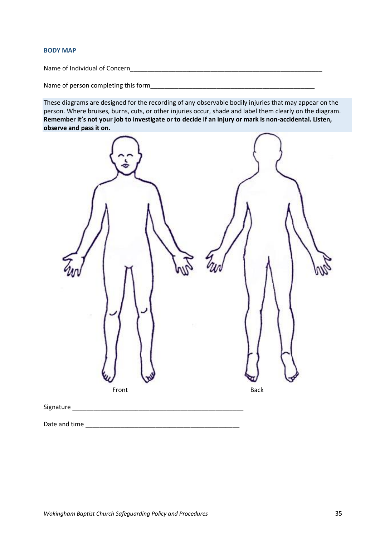#### **BODY MAP**

Name of Individual of Concern\_\_\_\_\_\_\_\_\_\_\_\_\_\_\_\_\_\_\_\_\_\_\_\_\_\_\_\_\_\_\_\_\_\_\_\_\_\_\_\_\_\_\_\_\_\_\_\_\_\_\_\_\_\_\_

Name of person completing this form\_\_\_\_\_\_\_\_\_\_\_\_\_\_\_\_\_\_\_\_\_\_\_\_\_\_\_\_\_\_\_\_\_\_\_\_\_\_\_\_\_\_\_\_\_\_\_

These diagrams are designed for the recording of any observable bodily injuries that may appear on the person. Where bruises, burns, cuts, or other injuries occur, shade and label them clearly on the diagram. **Remember it's not your job to investigate or to decide if an injury or mark is non-accidental. Listen, observe and pass it on.**